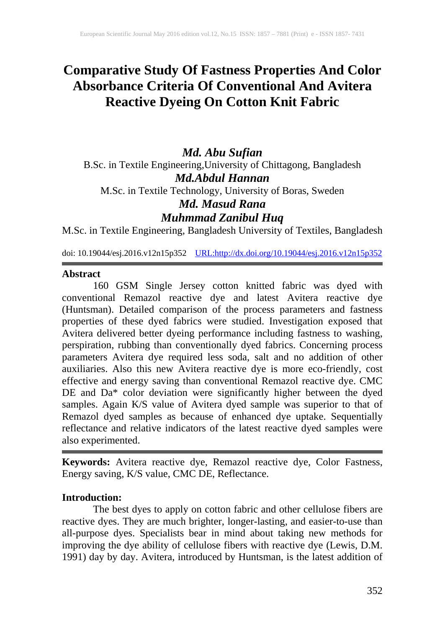# **Comparative Study Of Fastness Properties And Color Absorbance Criteria Of Conventional And Avitera Reactive Dyeing On Cotton Knit Fabric**

## *Md. Abu Sufian* B.Sc. in Textile Engineering,University of Chittagong, Bangladesh *Md.Abdul Hannan* M.Sc. in Textile Technology, University of Boras, Sweden *Md. Masud Rana Muhmmad Zanibul Huq*

M.Sc. in Textile Engineering, Bangladesh University of Textiles, Bangladesh

doi: 10.19044/esj.2016.v12n15p352 [URL:http://dx.doi.org/10.19044/esj.2016.v12n15p352](http://dx.doi.org/10.19044/esj.2016.v12n15p352)

## **Abstract**

160 GSM Single Jersey cotton knitted fabric was dyed with conventional Remazol reactive dye and latest Avitera reactive dye (Huntsman). Detailed comparison of the process parameters and fastness properties of these dyed fabrics were studied. Investigation exposed that Avitera delivered better dyeing performance including fastness to washing, perspiration, rubbing than conventionally dyed fabrics. Concerning process parameters Avitera dye required less soda, salt and no addition of other auxiliaries. Also this new Avitera reactive dye is more eco-friendly, cost effective and energy saving than conventional Remazol reactive dye. CMC DE and Da\* color deviation were significantly higher between the dyed samples. Again K/S value of Avitera dyed sample was superior to that of Remazol dyed samples as because of enhanced dye uptake. Sequentially reflectance and relative indicators of the latest reactive dyed samples were also experimented.

**Keywords:** Avitera reactive dye, Remazol reactive dye, Color Fastness, Energy saving, K/S value, CMC DE, Reflectance.

## **Introduction:**

The best dyes to apply on cotton fabric and other cellulose fibers are reactive dyes. They are much brighter, longer-lasting, and easier-to-use than all-purpose dyes. Specialists bear in mind about taking new methods for improving the dye ability of cellulose fibers with reactive dye (Lewis, D.M. 1991) day by day. Avitera, introduced by Huntsman, is the latest addition of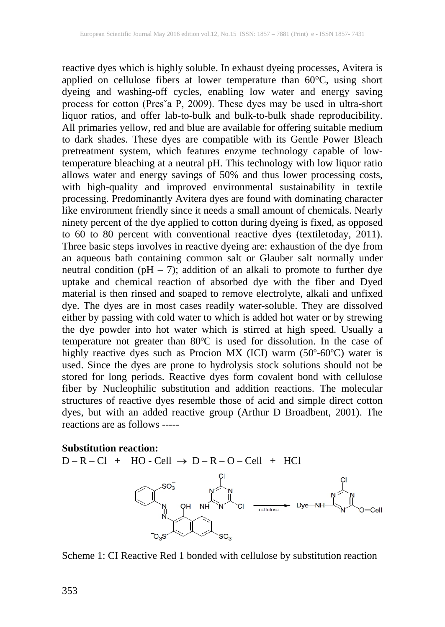reactive dyes which is highly soluble. In exhaust dyeing processes, Avitera is applied on cellulose fibers at lower temperature than 60°C, using short dyeing and washing-off cycles, enabling low water and energy saving process for cotton (Presˇa P, 2009). These dyes may be used in ultra-short liquor ratios, and offer lab-to-bulk and bulk-to-bulk shade reproducibility. All primaries yellow, red and blue are available for offering suitable medium to dark shades. These dyes are compatible with its Gentle Power Bleach pretreatment system, which features enzyme technology capable of lowtemperature bleaching at a neutral pH. This technology with low liquor ratio allows water and energy savings of 50% and thus lower processing costs, with high-quality and improved environmental sustainability in textile processing. Predominantly Avitera dyes are found with dominating character like environment friendly since it needs a small amount of chemicals. Nearly ninety percent of the dye applied to cotton during dyeing is fixed, as opposed to 60 to 80 percent with conventional reactive dyes (textiletoday, 2011). Three basic steps involves in reactive dyeing are: exhaustion of the dye from an aqueous bath containing common salt or Glauber salt normally under neutral condition (pH – 7); addition of an alkali to promote to further dye uptake and chemical reaction of absorbed dye with the fiber and Dyed material is then rinsed and soaped to remove electrolyte, alkali and unfixed dye. The dyes are in most cases readily water-soluble. They are dissolved either by passing with cold water to which is added hot water or by strewing the dye powder into hot water which is stirred at high speed. Usually a temperature not greater than 80ºC is used for dissolution. In the case of highly reactive dyes such as Procion MX (ICI) warm (50º-60ºC) water is used. Since the dyes are prone to hydrolysis stock solutions should not be stored for long periods. Reactive dyes form covalent bond with cellulose fiber by Nucleophilic substitution and addition reactions. The molecular structures of reactive dyes resemble those of acid and simple direct cotton dyes, but with an added reactive group (Arthur D Broadbent, 2001). The reactions are as follows -----

#### **Substitution reaction:**

 $D - R - Cl + HO - Cell \rightarrow D - R - O - Cell + HC$  $O_3S$ 

Scheme 1: CI Reactive Red 1 bonded with cellulose by substitution reaction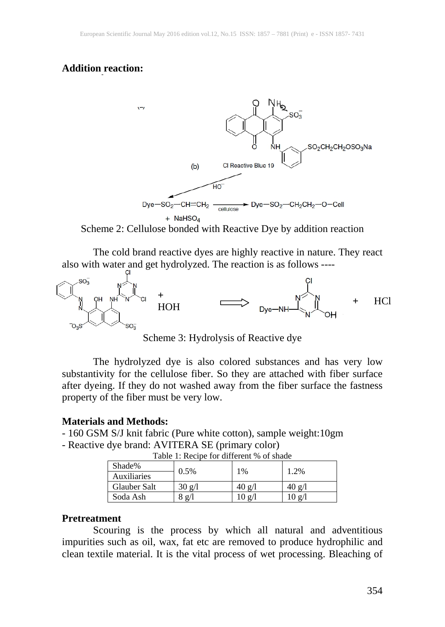#### **Addition reaction:**



+ NaHSO<sub>4</sub><br>Scheme 2: Cellulose bonded with Reactive Dye by addition reaction

The cold brand reactive dyes are highly reactive in nature. They react also with water and get hydrolyzed. The reaction is as follows ----



Scheme 3: Hydrolysis of Reactive dye

The hydrolyzed dye is also colored substances and has very low substantivity for the cellulose fiber. So they are attached with fiber surface after dyeing. If they do not washed away from the fiber surface the fastness property of the fiber must be very low.

#### **Materials and Methods:**

- 160 GSM S/J knit fabric (Pure white cotton), sample weight:10gm

- Reactive dye brand: AVITERA SE (primary color)

| Shade%       | 0.5%                    | 1%              | 1.2%             |
|--------------|-------------------------|-----------------|------------------|
| Auxiliaries  |                         |                 |                  |
| Glauber Salt | $30 \text{ g}/\text{l}$ | 40 ջ/Լ          | $40 \text{ g}/l$ |
| Soda Ash     | 8g/1                    | $0 \text{ g}/1$ | 10 g/l           |

Table 1: Recipe for different % of shade

#### **Pretreatment**

Scouring is the process by which all natural and adventitious impurities such as oil, wax, fat etc are removed to produce hydrophilic and clean textile material. It is the vital process of wet processing. Bleaching of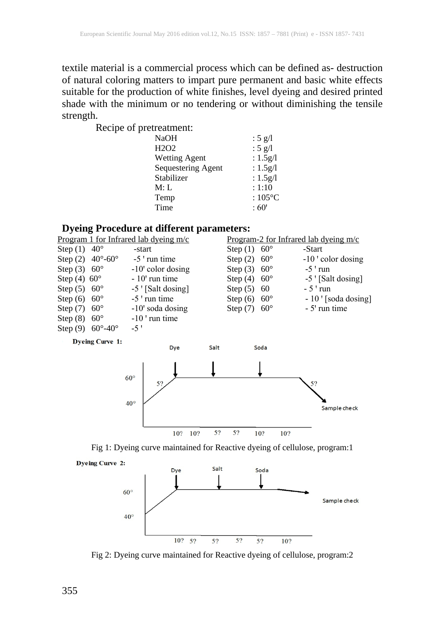textile material is a commercial process which can be defined as- destruction of natural coloring matters to impart pure permanent and basic white effects suitable for the production of white finishes, level dyeing and desired printed shade with the minimum or no tendering or without diminishing the tensile strength.

Recipe of pretreatment:

| <b>NaOH</b>                   |                    | : 5 g/l           |
|-------------------------------|--------------------|-------------------|
| H <sub>2</sub> O <sub>2</sub> |                    | : $5$ g/l         |
| <b>Wetting Agent</b>          |                    | : $1.5g/l$        |
|                               | Sequestering Agent | : $1.5g/l$        |
| Stabilizer                    |                    | : $1.5g/l$        |
| M: L                          |                    | : 1:10            |
| Temp                          |                    | : $105^{\circ}$ C |
| Time                          |                    | :60'              |
|                               |                    |                   |

#### **Dyeing Procedure at different parameters:**

|                          |                                    | <u>s</u> , ching a locculate are anticipally part antiception |                          |                                         |
|--------------------------|------------------------------------|---------------------------------------------------------------|--------------------------|-----------------------------------------|
|                          |                                    | Program 1 for Infrared lab dyeing $m/c$                       |                          | Program-2 for Infrared lab dyeing $m/c$ |
| Step $(1)$ 40°           |                                    | -start                                                        | Step $(1)$ 60°           | -Start                                  |
|                          | Step $(2)$ 40°-60°                 | $-5$ ' run time                                               | Step $(2)$ 60 $^{\circ}$ | $-10$ ' color dosing                    |
| Step $(3)$ 60 $^{\circ}$ |                                    | $-10$ ' color dosing                                          | Step $(3)$ 60°           | $-5$ ' run                              |
| Step $(4)$ 60 $^{\circ}$ |                                    | $-10'$ run time                                               | Step $(4)$ 60°           | $-5$ [Salt dosing]                      |
| Step $(5)$ 60 $^{\circ}$ |                                    | -5 ' [Salt dosing]                                            | Step $(5)$ 60            | $-5$ 'run                               |
| Step $(6)$ 60 $^{\circ}$ |                                    | $-5$ ' run time                                               | Step $(6)$ 60 $^{\circ}$ | - 10 ' [soda dosing]                    |
| Step $(7)$ 60 $^{\circ}$ |                                    | $-10'$ soda dosing                                            | Step $(7)$ 60 $^{\circ}$ | - 5' run time                           |
| Step $(8)$ 60 $^{\circ}$ |                                    | $-10$ ' run time                                              |                          |                                         |
|                          | Step (9) $60^{\circ} - 40^{\circ}$ | $-5'$                                                         |                          |                                         |
|                          |                                    |                                                               |                          |                                         |





Fig 1: Dyeing curve maintained for Reactive dyeing of cellulose, program:1





Fig 2: Dyeing curve maintained for Reactive dyeing of cellulose, program:2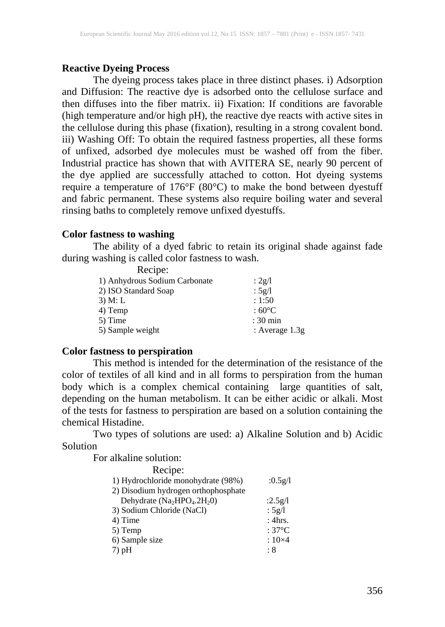## **Reactive Dyeing Process**

The dyeing process takes place in three distinct phases. i) Adsorption and Diffusion: The reactive dye is adsorbed onto the cellulose surface and then diffuses into the fiber matrix. ii) Fixation: If conditions are favorable (high temperature and/or high pH), the reactive dye reacts with active sites in the cellulose during this phase (fixation), resulting in a strong covalent bond. iii) Washing Off: To obtain the required fastness properties, all these forms of unfixed, adsorbed dye molecules must be washed off from the fiber. Industrial practice has shown that with AVITERA SE, nearly 90 percent of the dye applied are successfully attached to cotton. Hot dyeing systems require a temperature of 176°F (80°C) to make the bond between dyestuff and fabric permanent. These systems also require boiling water and several rinsing baths to completely remove unfixed dyestuffs.

## **Color fastness to washing**

The ability of a dyed fabric to retain its original shade against fade during washing is called color fastness to wash.

| Recipe:                       |                      |
|-------------------------------|----------------------|
| 1) Anhydrous Sodium Carbonate | : $2g/l$             |
| 2) ISO Standard Soap          | : $5g/l$             |
| $3)$ M: L                     | : 1:50               |
| 4) Temp                       | : 60 $\rm ^{\circ}C$ |
| 5) Time                       | $: 30$ min           |
| 5) Sample weight              | : Average $1.3g$     |

## **Color fastness to perspiration**

This method is intended for the determination of the resistance of the color of textiles of all kind and in all forms to perspiration from the human body which is a complex chemical containing large quantities of salt, depending on the human metabolism. It can be either acidic or alkali. Most of the tests for fastness to perspiration are based on a solution containing the chemical Histadine.

Two types of solutions are used: a) Alkaline Solution and b) Acidic Solution

For alkaline solution:

| Recipe:                                                         |                 |
|-----------------------------------------------------------------|-----------------|
| 1) Hydrochloride monohydrate (98%)                              | :0.5g/l         |
| 2) Disodium hydrogen orthophosphate                             |                 |
| Dehydrate (Na <sub>2</sub> HPO <sub>4</sub> .2H <sub>2</sub> 0) | :2.5 $g/l$      |
| 3) Sodium Chloride (NaCl)                                       | : $5g/l$        |
| 4) Time                                                         | : 4hrs.         |
| 5) Temp                                                         | $:37^{\circ}$ C |
| 6) Sample size                                                  | $:10\times4$    |
| $(7)$ pH                                                        | : 8             |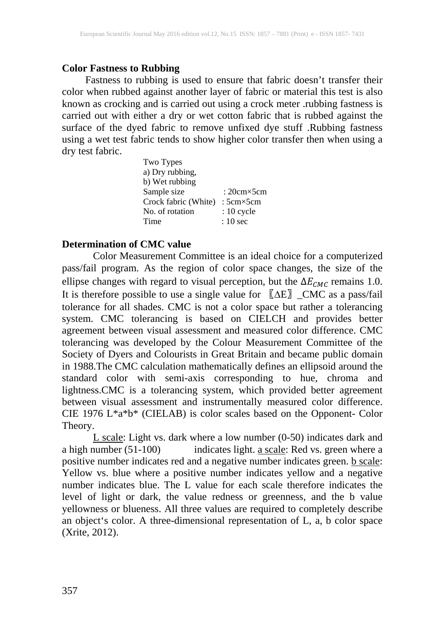## **Color Fastness to Rubbing**

Fastness to rubbing is used to ensure that fabric doesn't transfer their color when rubbed against another layer of fabric or material this test is also known as crocking and is carried out using a crock meter .rubbing fastness is carried out with either a dry or wet cotton fabric that is rubbed against the surface of the dyed fabric to remove unfixed dye stuff .Rubbing fastness using a wet test fabric tends to show higher color transfer then when using a dry test fabric.

| Two Types            |                      |
|----------------------|----------------------|
| a) Dry rubbing,      |                      |
| b) Wet rubbing       |                      |
| Sample size          | : 20 $cm \times 5cm$ |
| Crock fabric (White) | $:5cm\times5cm$      |
| No. of rotation      | $: 10$ cycle         |
| Time                 | $: 10 \text{ sec}$   |

## **Determination of CMC value**

Color Measurement Committee is an ideal choice for a computerized pass/fail program. As the region of color space changes, the size of the ellipse changes with regard to visual perception, but the  $\Delta E_{CMC}$  remains 1.0. It is therefore possible to use a single value for 〖∆E〗\_CMC as a pass/fail tolerance for all shades. CMC is not a color space but rather a tolerancing system. CMC tolerancing is based on CIELCH and provides better agreement between visual assessment and measured color difference. CMC tolerancing was developed by the Colour Measurement Committee of the Society of Dyers and Colourists in Great Britain and became public domain in 1988.The CMC calculation mathematically defines an ellipsoid around the standard color with semi-axis corresponding to hue, chroma and lightness.CMC is a tolerancing system, which provided better agreement between visual assessment and instrumentally measured color difference. CIE 1976 L\*a\*b\* (CIELAB) is color scales based on the Opponent- Color Theory.

 $L$  scale: Light vs. dark where a low number (0-50) indicates dark and a high number (51-100) indicates light. a scale: Red vs. green where a positive number indicates red and a negative number indicates green. **b** scale: Yellow vs. blue where a positive number indicates yellow and a negative number indicates blue. The L value for each scale therefore indicates the level of light or dark, the value redness or greenness, and the b value yellowness or blueness. All three values are required to completely describe an object's color. A three-dimensional representation of L, a, b color space (Xrite, 2012).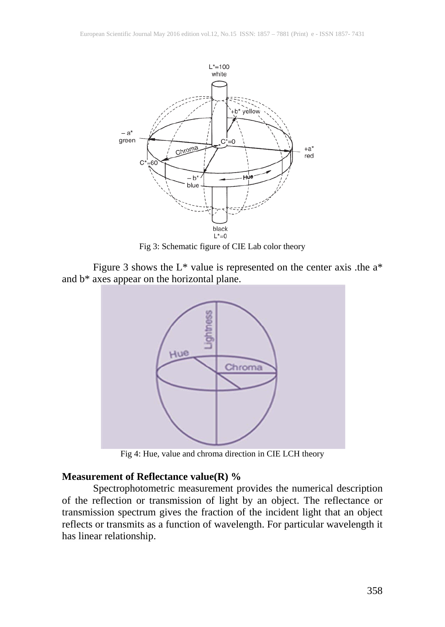

Fig 3: Schematic figure of CIE Lab color theory

Figure 3 shows the  $L^*$  value is represented on the center axis .the  $a^*$ and b\* axes appear on the horizontal plane.



Fig 4: Hue, value and chroma direction in CIE LCH theory

## **Measurement of Reflectance value(R) %**

Spectrophotometric measurement provides the numerical description of the reflection or transmission of light by an object. The reflectance or transmission spectrum gives the fraction of the incident light that an object reflects or transmits as a function of wavelength. For particular wavelength it has linear relationship.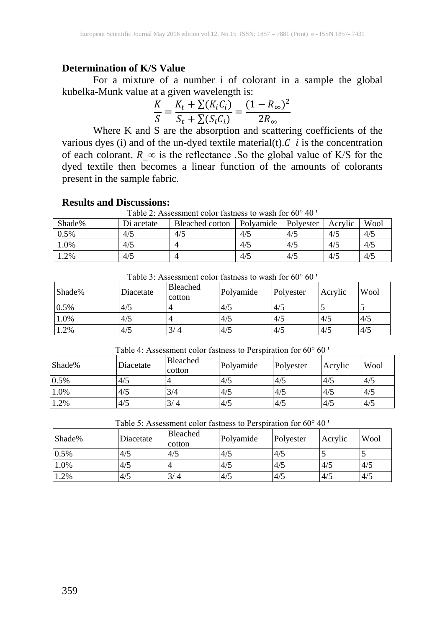#### **Determination of K/S Value**

For a mixture of a number i of colorant in a sample the global kubelka-Munk value at a given wavelength is:

$$
\frac{K}{S} = \frac{K_t + \sum (K_i C_i)}{S_t + \sum (S_i C_i)} = \frac{(1 - R_{\infty})^2}{2R_{\infty}}
$$

Where K and S are the absorption and scattering coefficients of the various dyes (i) and of the un-dyed textile material(t). $C_i$  is the concentration of each colorant.  $R \propto$  is the reflectance . So the global value of K/S for the dyed textile then becomes a linear function of the amounts of colorants present in the sample fabric.

#### **Results and Discussions:**

Table 2: Assessment color fastness to wash for  $60^{\circ}$  40  $^{\circ}$ 

| Shade% | Di<br>acetate | Bleached cotton | Polvamide | Polvester | Acrylic | Wool |
|--------|---------------|-----------------|-----------|-----------|---------|------|
| 0.5%   | 4/5           | 4/5             | 4/5       | 4/5       | 4/5     | 4/5  |
| $.0\%$ | 4/5           |                 | 4/5       | 4/5       | 4/5     | 4/5  |
| 1.2%   | 4/5           |                 | 4/5       | 4/5       | 4/5     | 4/5  |

| Shade% | Diacetate | <b>Bleached</b><br>cotton | Polyamide | Polyester | Acrylic | Wool |
|--------|-----------|---------------------------|-----------|-----------|---------|------|
| 10.5%  | 4/5       |                           | 4/5       | 4/5       |         | ◡    |
| 1.0%   | 4/5       |                           | 4/5       | 4/5       | 4/5     | 4/5  |
| 1.2%   | 4/5       | 3/4                       | 4/5       | 4/5       | 4/5     | 4/5  |

Table 3: Assessment color fastness to wash for  $60^{\circ}$  60  $^{\circ}$ 

Table 4: Assessment color fastness to Perspiration for  $60^{\circ}$   $60^{\circ}$ 

| Shade% | Diacetate | <b>Bleached</b><br>cotton | Polyamide | Polyester | Acrylic | Wool |
|--------|-----------|---------------------------|-----------|-----------|---------|------|
| 0.5%   | 4/5       |                           | 4/5       | 4/5       | 4/5     | 4/5  |
| 1.0%   | 4/5       | 3/4                       | 4/5       | 4/5       | 4/5     | 4/5  |
| 1.2%   | 4/5       | 3/4                       | 4/5       | 4/5       | 4/5     | 4/5  |

| Shade% | Diacetate | <b>Bleached</b><br>cotton | Polyamide | Polyester | Acrylic | Wool |  |
|--------|-----------|---------------------------|-----------|-----------|---------|------|--|
| 0.5%   | 4/5       | 4/5                       | 4/5       | 4/5       |         |      |  |
| 1.0%   | 4/5       |                           | 4/5       | 4/5       | 4/5     | 4/5  |  |
| 1.2%   | 4/5       | 3/4                       | 4/5       | 4/5       | 4/5     | 4/5  |  |

Table 5: Assessment color fastness to Perspiration for  $60^{\circ}$  40  $^{\circ}$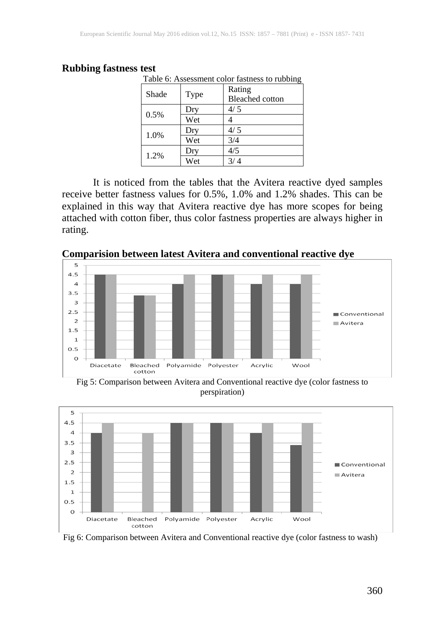#### **Rubbing fastness test**

| Table 6: Assessment color fastness to rubbing |      |                        |  |  |  |
|-----------------------------------------------|------|------------------------|--|--|--|
| Shade                                         | Type | Rating                 |  |  |  |
|                                               |      | <b>Bleached</b> cotton |  |  |  |
|                                               | Dry  | 4/5                    |  |  |  |
| 0.5%                                          | Wet  |                        |  |  |  |
|                                               | Dry  | 4/5                    |  |  |  |
| 1.0%                                          | Wet  | 3/4                    |  |  |  |
| 1.2%                                          | Dry  | 4/5                    |  |  |  |
|                                               | Wet  |                        |  |  |  |

It is noticed from the tables that the Avitera reactive dyed samples receive better fastness values for 0.5%, 1.0% and 1.2% shades. This can be explained in this way that Avitera reactive dye has more scopes for being attached with cotton fiber, thus color fastness properties are always higher in rating.



**Comparision between latest Avitera and conventional reactive dye**

Fig 5: Comparison between Avitera and Conventional reactive dye (color fastness to perspiration)



Fig 6: Comparison between Avitera and Conventional reactive dye (color fastness to wash)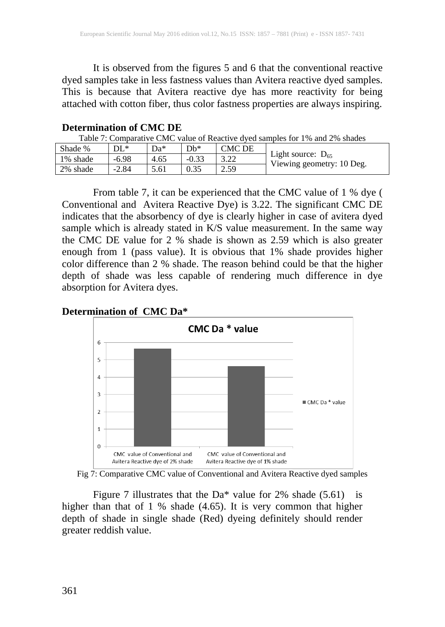It is observed from the figures 5 and 6 that the conventional reactive dyed samples take in less fastness values than Avitera reactive dyed samples. This is because that Avitera reactive dye has more reactivity for being attached with cotton fiber, thus color fastness properties are always inspiring.

## **Determination of CMC DE**

Table 7: Comparative CMC value of Reactive dyed samples for 1% and 2% shades

| Shade %  | $\mathbf{U}$ | Da*  | $Db*$   | CMC DE          |                                                     |
|----------|--------------|------|---------|-----------------|-----------------------------------------------------|
| 1% shade | $-6.98$      | 4.65 | $-0.33$ | 3. 22<br>ے کہ ب | Light source: $D_{65}$<br>Viewing geometry: 10 Deg. |
| 2% shade | $-2.84$      | 5.61 | 0.35    | 2.59            |                                                     |

From table 7, it can be experienced that the CMC value of 1 % dye ( Conventional and Avitera Reactive Dye) is 3.22. The significant CMC DE indicates that the absorbency of dye is clearly higher in case of avitera dyed sample which is already stated in K/S value measurement. In the same way the CMC DE value for 2 % shade is shown as 2.59 which is also greater enough from 1 (pass value). It is obvious that 1% shade provides higher color difference than 2 % shade. The reason behind could be that the higher depth of shade was less capable of rendering much difference in dye absorption for Avitera dyes.

### **Determination of CMC Da\***



Fig 7: Comparative CMC value of Conventional and Avitera Reactive dyed samples

Figure 7 illustrates that the Da\* value for 2% shade  $(5.61)$  is higher than that of 1 % shade (4.65). It is very common that higher depth of shade in single shade (Red) dyeing definitely should render greater reddish value.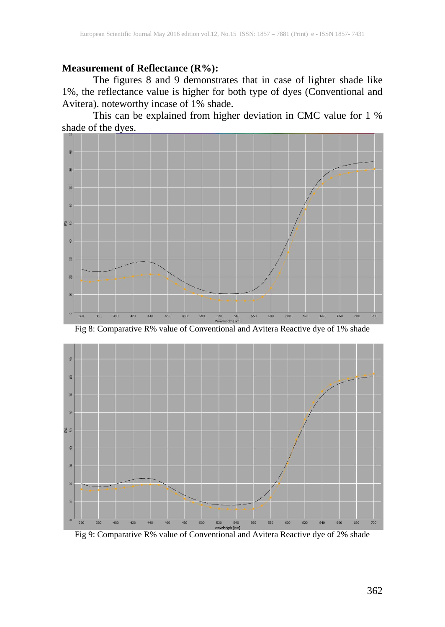#### **Measurement of Reflectance (R%):**

The figures 8 and 9 demonstrates that in case of lighter shade like 1%, the reflectance value is higher for both type of dyes (Conventional and Avitera). noteworthy incase of 1% shade.

This can be explained from higher deviation in CMC value for 1 % shade of the dyes.



Fig 8: Comparative R% value of Conventional and Avitera Reactive dye of 1% shade



Fig 9: Comparative R% value of Conventional and Avitera Reactive dye of 2% shade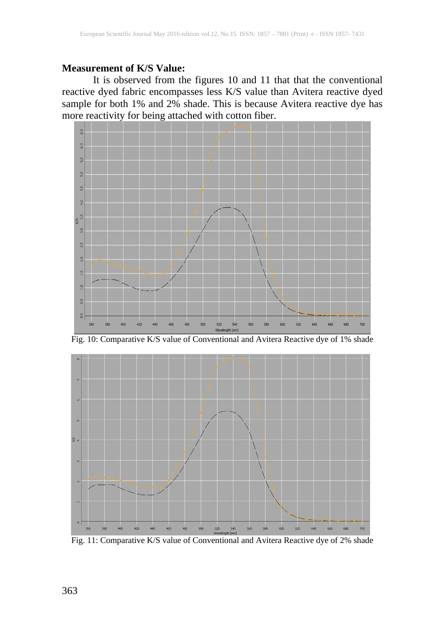#### **Measurement of K/S Value:**

It is observed from the figures 10 and 11 that that the conventional reactive dyed fabric encompasses less K/S value than Avitera reactive dyed sample for both 1% and 2% shade. This is because Avitera reactive dye has more reactivity for being attached with cotton fiber.



Fig. 10: Comparative K/S value of Conventional and Avitera Reactive dye of 1% shade



Fig. 11: Comparative K/S value of Conventional and Avitera Reactive dye of 2% shade